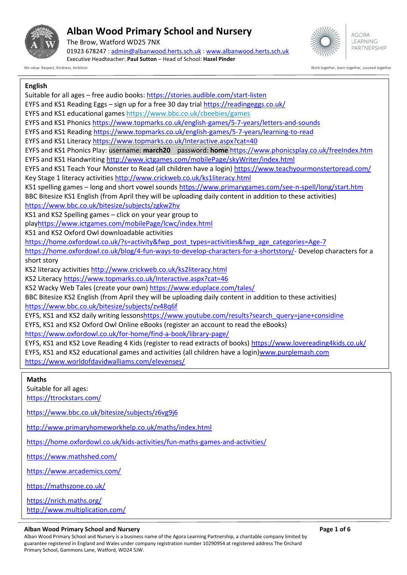

The Brow, Watford WD25 7NX 01923 678247 : [admin@albanwood.herts.sch.uk](mailto:admin@albanwood.herts.sch.uk) [: www.albanwood.herts.sch.uk](http://www.albanwood.herts.sch.uk/) Executive Headteacher: **Paul Sutton** – Head of School: **Hazel Pinder**



**AGORA I FARNING** PARTNERSHIP

We value: Respect, Kindness, Ambition Work together, learn together, succeed together

### **English**

Suitable for all ages – free audio books[: https://stories.audible.com/start-listen](https://stories.audible.com/start-listen) EYFS and KS1 Reading Eggs – sign up for a free 30 day trial<https://readingeggs.co.uk/> EYFS and KS1 educational games <https://www.bbc.co.uk/cbeebies/games> EYFS and KS1 Phonics <https://www.topmarks.co.uk/english-games/5-7-years/letters-and-sounds> EYFS and KS1 Reading <https://www.topmarks.co.uk/english-games/5-7-years/learning-to-read> EYFS and KS1 Literacy <https://www.topmarks.co.uk/Interactive.aspx?cat=40> EYFS and KS1 Phonics Play: username: **march20** password: **home** <https://www.phonicsplay.co.uk/freeIndex.htm> EYFS and KS1 Handwriting <http://www.ictgames.com/mobilePage/skyWriter/index.html> EYFS and KS1 Teach Your Monster to Read (all children have a login) <https://www.teachyourmonstertoread.com/> Key Stage 1 literacy activities <http://www.crickweb.co.uk/ks1literacy.html> KS1 spelling games – long and short vowel sounds <https://www.primarygames.com/see-n-spell/long/start.htm> BBC Bitesize KS1 English (from April they will be uploading daily content in addition to these activities) <https://www.bbc.co.uk/bitesize/subjects/zgkw2hv> KS1 and KS2 Spelling games – click on your year group to pla[yhttps://www.ictgames.com/mobilePage/lcwc/index.html](https://www.ictgames.com/mobilePage/lcwc/index.html) KS1 and KS2 Oxford Owl downloadable activities [https://home.oxfordowl.co.uk/?s=activity&fwp\\_post\\_types=activities&fwp\\_age\\_categories=Age-7](https://home.oxfordowl.co.uk/?s=activity&fwp_post_types=activities&fwp_age_categories=Age-7) [https://home.oxfordowl.co.uk/blog/4-fun-ways-to-develop-characters-for-a-shortstory/-](https://home.oxfordowl.co.uk/blog/4-fun-ways-to-develop-characters-for-a-shortstory/) Develop characters for a short story KS2 literacy activities <http://www.crickweb.co.uk/ks2literacy.html> KS2 Literacy <https://www.topmarks.co.uk/Interactive.aspx?cat=46> KS2 Wacky Web Tales (create your own) <https://www.eduplace.com/tales/> BBC Bitesize KS2 English (from April they will be uploading daily content in addition to these activities) <https://www.bbc.co.uk/bitesize/subjects/zv48q6f> EYFS, KS1 and KS2 daily writing lesson[shttps://www.youtube.com/results?search\\_query=jane+considine](https://www.youtube.com/results?search_query=jane+considine) EYFS, KS1 and KS2 Oxford Owl Online eBooks (register an account to read the eBooks) <https://www.oxfordowl.co.uk/for-home/find-a-book/library-page/> EYFS, KS1 and KS2 Love Reading 4 Kids (register to read extracts of books) <https://www.lovereading4kids.co.uk/> EYFS, KS1 and KS2 educational games and activities (all children have a login[\)www.purplemash.com](http://www.purplemash.com/) <https://www.worldofdavidwalliams.com/elevenses/> **Maths** Suitable for all ages: <https://ttrockstars.com/> <https://www.bbc.co.uk/bitesize/subjects/z6vg9j6> <http://www.primaryhomeworkhelp.co.uk/maths/index.html> <https://home.oxfordowl.co.uk/kids-activities/fun-maths-games-and-activities/> <https://www.mathshed.com/> <https://www.arcademics.com/>

<https://mathszone.co.uk/>

<https://nrich.maths.org/> <http://www.multiplication.com/>

#### **Alban Wood Primary School and Nursery Page 1 of 6**

Alban Wood Primary School and Nursery is a business name of the Agora Learning Partnership, a charitable company limited by guarantee registered in England and Wales under company registration number 10290954 at registered address The Orchard<br>Primary School, Gammons Lane, Watford, WD24 5JW Primary School, Gammons Lane, Watford, WD24 5JW. <https://kids.classroomsecrets.co.uk/>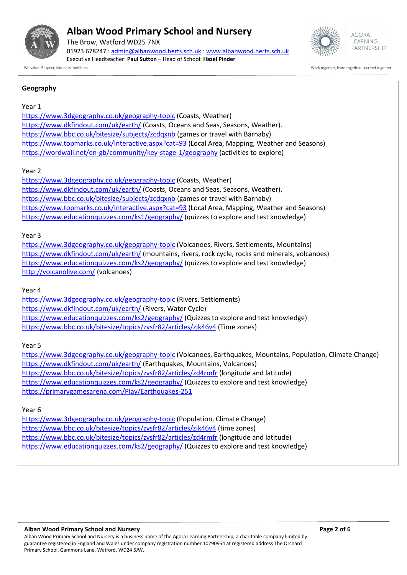

The Brow, Watford WD25 7NX 01923 678247 : [admin@albanwood.herts.sch.uk](mailto:admin@albanwood.herts.sch.uk) [: www.albanwood.herts.sch.uk](http://www.albanwood.herts.sch.uk/) Executive Headteacher: **Paul Sutton** – Head of School: **Hazel Pinder**



**AGORA I FARNING** PARTNERSHIP

We value: Respect, Kindness, Ambition with the succeed together, and the work together, succeed together, succeed together, succeed together, succeed together, succeed together, succeed together, succeed together, succeed

#### **Geography**

#### Year 1

<https://www.3dgeography.co.uk/geography-topic> (Coasts, Weather) <https://www.dkfindout.com/uk/earth/> (Coasts, Oceans and Seas, Seasons, Weather). <https://www.bbc.co.uk/bitesize/subjects/zcdqxnb> (games or travel with Barnaby) <https://www.topmarks.co.uk/Interactive.aspx?cat=93> (Local Area, Mapping, Weather and Seasons) <https://wordwall.net/en-gb/community/key-stage-1/geography> (activities to explore)

#### Year 2

<https://www.3dgeography.co.uk/geography-topic> (Coasts, Weather) <https://www.dkfindout.com/uk/earth/> (Coasts, Oceans and Seas, Seasons, Weather). <https://www.bbc.co.uk/bitesize/subjects/zcdqxnb> (games or travel with Barnaby) <https://www.topmarks.co.uk/Interactive.aspx?cat=93> (Local Area, Mapping, Weather and Seasons) <https://www.educationquizzes.com/ks1/geography/> (quizzes to explore and test knowledge)

#### Year 3

<https://www.3dgeography.co.uk/geography-topic> (Volcanoes, Rivers, Settlements, Mountains) <https://www.dkfindout.com/uk/earth/> (mountains, rivers, rock cycle, rocks and minerals, volcanoes) <https://www.educationquizzes.com/ks2/geography/> (quizzes to explore and test knowledge) <http://volcanolive.com/> (volcanoes)

#### Year 4

<https://www.3dgeography.co.uk/geography-topic> (Rivers, Settlements) <https://www.dkfindout.com/uk/earth/> (Rivers, Water Cycle) <https://www.educationquizzes.com/ks2/geography/> (Quizzes to explore and test knowledge) <https://www.bbc.co.uk/bitesize/topics/zvsfr82/articles/zjk46v4> (Time zones)

#### Year 5

<https://www.3dgeography.co.uk/geography-topic> (Volcanoes, Earthquakes, Mountains, Population, Climate Change) <https://www.dkfindout.com/uk/earth/> (Earthquakes, Mountains, Volcanoes) <https://www.bbc.co.uk/bitesize/topics/zvsfr82/articles/zd4rmfr> (longitude and latitude) <https://www.educationquizzes.com/ks2/geography/> (Quizzes to explore and test knowledge) <https://primarygamesarena.com/Play/Earthquakes-251>

#### Year 6

<https://www.3dgeography.co.uk/geography-topic> (Population, Climate Change) <https://www.bbc.co.uk/bitesize/topics/zvsfr82/articles/zjk46v4> (time zones) <https://www.bbc.co.uk/bitesize/topics/zvsfr82/articles/zd4rmfr> (longitude and latitude) <https://www.educationquizzes.com/ks2/geography/> (Quizzes to explore and test knowledge)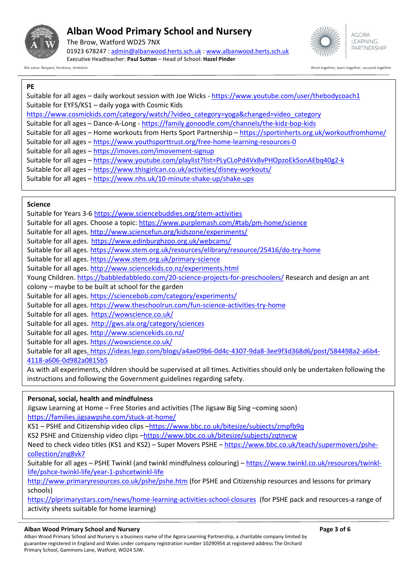

The Brow, Watford WD25 7NX 01923 678247 : [admin@albanwood.herts.sch.uk](mailto:admin@albanwood.herts.sch.uk) [: www.albanwood.herts.sch.uk](http://www.albanwood.herts.sch.uk/) Executive Headteacher: **Paul Sutton** – Head of School: **Hazel Pinder**



We value: Respect, Kindness, Ambition Work together, learn together, succeed together

#### **PE**

Suitable for all ages – daily workout session with Joe Wicks - <https://www.youtube.com/user/thebodycoach1> Suitable for EYFS/KS1 – daily yoga with Cosmic Kids [https://www.cosmickids.com/category/watch/?video\\_category=yoga&changed=video\\_category](https://www.cosmickids.com/category/watch/?video_category=yoga&changed=video_category) Suitable for all ages – Dance-A-Long - <https://family.gonoodle.com/channels/the-kidz-bop-kids> Suitable for all ages – Home workouts from Herts Sport Partnership – <https://sportinherts.org.uk/workoutfromhome/> Suitable for all ages – <https://www.youthsporttrust.org/free-home-learning-resources-0> Suitable for all ages – <https://imoves.com/imovement-signup> Suitable for all ages – <https://www.youtube.com/playlist?list=PLyCLoPd4VxBvPHOpzoEk5onAEbq40g2-k> Suitable for all ages – <https://www.thisgirlcan.co.uk/activities/disney-workouts/> Suitable for all ages – <https://www.nhs.uk/10-minute-shake-up/shake-ups>

#### **Science**

Suitable for Years 3-[6 https://www.sciencebuddies.org/stem-activities](https://www.sciencebuddies.org/stem-activities)

- Suitable for all ages. Choose a topic: [https://www.purplemash.com/#tab/pm-home/science](https://www.purplemash.com/%23tab/pm-home/science)
- Suitable for all ages.<http://www.sciencefun.org/kidszone/experiments/>
- Suitable for all ages. <https://www.edinburghzoo.org.uk/webcams/>
- Suitable for all ages.<https://www.stem.org.uk/resources/elibrary/resource/25416/do-try-home>
- Suitable for all ages.<https://www.stem.org.uk/primary-science>

Suitable for all ages.<http://www.sciencekids.co.nz/experiments.html>

Young Children.<https://babbledabbledo.com/20-science-projects-for-preschoolers/> Research and design an ant

colony – maybe to be built at school for the garden

- Suitable for all ages.<https://sciencebob.com/category/experiments/>
- Suitable for all ages.<https://www.theschoolrun.com/fun-science-activities-try-home>
- Suitable for all ages. <https://wowscience.co.uk/>

Suitable for all ages. <http://gws.ala.org/category/sciences>

Suitable for all ages.<http://www.sciencekids.co.nz/>

Suitable for all ages.<https://wowscience.co.uk/>

Suitable for all age[s. https://ideas.lego.com/blogs/a4ae09b6-0d4c-4307-9da8-3ee9f3d368d6/post/584498a2-a6b4-](file://///AWP-SVR-001.albanwood752.internal/FldrRedir$/Staff/Teachers/HPinder/Coronavirus/.%20https:/ideas.lego.com/blogs/a4ae09b6-0d4c-4307-9da8-3ee9f3d368d6/post/584498a2-a6b4-4118-a606-0d982a0815b5) [4118-a606-0d982a0815b5](file://///AWP-SVR-001.albanwood752.internal/FldrRedir$/Staff/Teachers/HPinder/Coronavirus/.%20https:/ideas.lego.com/blogs/a4ae09b6-0d4c-4307-9da8-3ee9f3d368d6/post/584498a2-a6b4-4118-a606-0d982a0815b5)

As with all experiments, children should be supervised at all times. Activities should only be undertaken following the instructions and following the Government guidelines regarding safety.

### **Personal, social, health and mindfulness**

Jigsaw Learning at Home – Free Stories and activities (The Jigsaw Big Sing –coming soon) <https://families.jigsawpshe.com/stuck-at-home/>

KS1 – PSHE and Citizenship video clips –<https://www.bbc.co.uk/bitesize/subjects/zmpfb9q>

KS2 PSHE and Citizenship video clips –<https://www.bbc.co.uk/bitesize/subjects/zqtnvcw>

Need to check video titles (KS1 and KS2) – Super Movers PSHE – [https://www.bbc.co.uk/teach/supermovers/pshe](https://www.bbc.co.uk/teach/supermovers/pshe-collection/zng8vk7)[collection/zng8vk7](https://www.bbc.co.uk/teach/supermovers/pshe-collection/zng8vk7)

Suitable for all ages – PSHE Twinkl (and twinkl mindfulness colouring) – [https://www.twinkl.co.uk/resources/twinkl](https://www.twinkl.co.uk/resources/twinkl-life/pshce-twinkl-life/year-1-pshcetwinkl-life)[life/pshce-twinkl-life/year-1-pshcetwinkl-life](https://www.twinkl.co.uk/resources/twinkl-life/pshce-twinkl-life/year-1-pshcetwinkl-life)

<http://www.primaryresources.co.uk/pshe/pshe.htm> (for PSHE and Citizenship resources and lessons for primary schools)

<https://plprimarystars.com/news/home-learning-activities-school-closures>(for PSHE pack and resources-a range of activity sheets suitable for home learning)

#### **Alban Wood Primary School and Nursery Page 3 of 6**

Alban Wood Primary School and Nursery is a business name of the Agora Learning Partnership, a charitable company limited by guarantee registered in England and Wales under company registration number 10290954 at registered address The Orchard Primary School, Gammons Lane, Watford, WD24 5JW.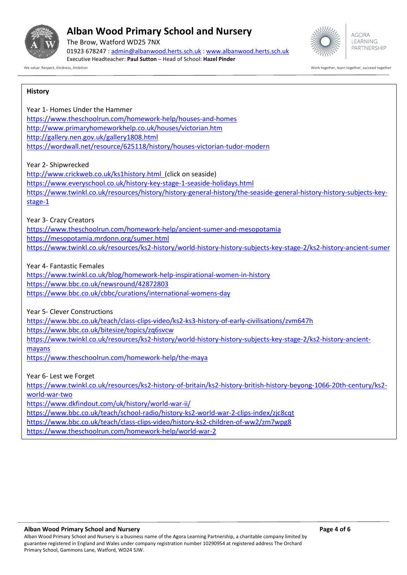

The Brow, Watford WD25 7NX 01923 678247 : [admin@albanwood.herts.sch.uk](mailto:admin@albanwood.herts.sch.uk) [: www.albanwood.herts.sch.uk](http://www.albanwood.herts.sch.uk/) Executive Headteacher: **Paul Sutton** – Head of School: **Hazel Pinder**



**AGORA I FARNING** PARTNERSHIP

We value: Respect, Kindness, Ambition Work together, learn together, succeed together

#### **History**

Year 1- Homes Under the Hammer <https://www.theschoolrun.com/homework-help/houses-and-homes> <http://www.primaryhomeworkhelp.co.uk/houses/victorian.htm> <http://gallery.nen.gov.uk/gallery1808.html> <https://wordwall.net/resource/625118/history/houses-victorian-tudor-modern>

#### Year 2- Shipwrecked

<http://www.crickweb.co.uk/ks1history.html>(click on seaside) <https://www.everyschool.co.uk/history-key-stage-1-seaside-holidays.html> [https://www.twinkl.co.uk/resources/history/history-general-history/the-seaside-general-history-history-subjects-key](https://www.twinkl.co.uk/resources/history/history-general-history/the-seaside-general-history-history-subjects-key-stage-1)[stage-1](https://www.twinkl.co.uk/resources/history/history-general-history/the-seaside-general-history-history-subjects-key-stage-1)

#### Year 3- Crazy Creators

<https://www.theschoolrun.com/homework-help/ancient-sumer-and-mesopotamia> <https://mesopotamia.mrdonn.org/sumer.html> <https://www.twinkl.co.uk/resources/ks2-history/world-history-history-subjects-key-stage-2/ks2-history-ancient-sumer>

Year 4- Fantastic Females

<https://www.twinkl.co.uk/blog/homework-help-inspirational-women-in-history> <https://www.bbc.co.uk/newsround/42872803> <https://www.bbc.co.uk/cbbc/curations/international-womens-day>

Year 5- Clever Constructions

<https://www.bbc.co.uk/teach/class-clips-video/ks2-ks3-history-of-early-civilisations/zvm647h> <https://www.bbc.co.uk/bitesize/topics/zq6svcw> [https://www.twinkl.co.uk/resources/ks2-history/world-history-history-subjects-key-stage-2/ks2-history-ancient](https://www.twinkl.co.uk/resources/ks2-history/world-history-history-subjects-key-stage-2/ks2-history-ancient-mayans)[mayans](https://www.twinkl.co.uk/resources/ks2-history/world-history-history-subjects-key-stage-2/ks2-history-ancient-mayans) <https://www.theschoolrun.com/homework-help/the-maya>

Year 6- Lest we Forget [https://www.twinkl.co.uk/resources/ks2-history-of-britain/ks2-history-british-history-beyong-1066-20th-century/ks2](https://www.twinkl.co.uk/resources/ks2-history-of-britain/ks2-history-british-history-beyong-1066-20th-century/ks2-world-war-two) [world-war-two](https://www.twinkl.co.uk/resources/ks2-history-of-britain/ks2-history-british-history-beyong-1066-20th-century/ks2-world-war-two)

<https://www.dkfindout.com/uk/history/world-war-ii/>

<https://www.bbc.co.uk/teach/school-radio/history-ks2-world-war-2-clips-index/zjc8cqt>

<https://www.bbc.co.uk/teach/class-clips-video/history-ks2-children-of-ww2/zm7wpg8>

<https://www.theschoolrun.com/homework-help/world-war-2>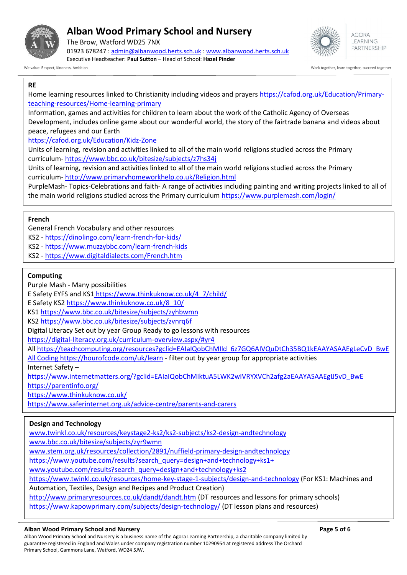

The Brow, Watford WD25 7NX 01923 678247 : [admin@albanwood.herts.sch.uk](mailto:admin@albanwood.herts.sch.uk) [: www.albanwood.herts.sch.uk](http://www.albanwood.herts.sch.uk/) Executive Headteacher: **Paul Sutton** – Head of School: **Hazel Pinder**



We value: Respect, Kindness, Ambition Work together, learn together, succeed together, succeed together, succeed together, succeed together, succeed together, succeed together, succeed together, succeed together, succeed t

#### **RE**

Home learning resources linked to Christianity including videos and prayers [https://cafod.org.uk/Education/Primary](https://cafod.org.uk/Education/Primary-teaching-resources/Home-learning-primary)[teaching-resources/Home-learning-primary](https://cafod.org.uk/Education/Primary-teaching-resources/Home-learning-primary)

Information, games and activities for children to learn about the work of the Catholic Agency of Overseas Development, includes online game about our wonderful world, the story of the fairtrade banana and videos about peace, refugees and our Earth

<https://cafod.org.uk/Education/Kidz-Zone>

Units of learning, revision and activities linked to all of the main world religions studied across the Primary curriculum- <https://www.bbc.co.uk/bitesize/subjects/z7hs34j>

Units of learning, revision and activities linked to all of the main world religions studied across the Primary curriculum- <http://www.primaryhomeworkhelp.co.uk/Religion.html>

PurpleMash- Topics-Celebrations and faith- A range of activities including painting and writing projects linked to all of the main world religions studied across the Primary curriculum <https://www.purplemash.com/login/>

#### **French**

General French Vocabulary and other resources

KS2 - <https://dinolingo.com/learn-french-for-kids/>

- KS2 <https://www.muzzybbc.com/learn-french-kids>
- KS2 <https://www.digitaldialects.com/French.htm>

#### **Computing**

Purple Mash - Many possibilities

E Safety EYFS and KS1 [https://www.thinkuknow.co.uk/4\\_7/child/](https://www.thinkuknow.co.uk/4_7/child/)

E Safety KS2 [https://www.thinkuknow.co.uk/8\\_10/](https://www.thinkuknow.co.uk/8_10/)

KS1<https://www.bbc.co.uk/bitesize/subjects/zyhbwmn>

KS2<https://www.bbc.co.uk/bitesize/subjects/zvnrq6f>

Digital Literacy Set out by year Group Ready to go lessons with resources

[https://digital-literacy.org.uk/curriculum-overview.aspx/#yr4](https://digital-literacy.org.uk/curriculum-overview.aspx/%23yr4)

All [https://teachcomputing.org/resources?gclid=EAIaIQobChMIld\\_6z7GQ6AIVQuDtCh35BQ1kEAAYASAAEgLeCvD\\_BwE](https://teachcomputing.org/resources?gclid=EAIaIQobChMIld_6z7GQ6AIVQuDtCh35BQ1kEAAYASAAEgLeCvD_BwE)

[All Coding https://hourofcode.com/uk/learn](file://///AWP-SVR-001.albanwood752.internal/FldrRedir$/Staff/Teachers/HPinder/Coronavirus/All%20Coding%20https:/hourofcode.com/uk/learn) - filter out by year group for appropriate activities

Internet Safety –

[https://www.internetmatters.org/?gclid=EAIaIQobChMIktuA5LWK2wIVRYXVCh2afg2aEAAYASAAEgIJ5vD\\_BwE](https://www.internetmatters.org/?gclid=EAIaIQobChMIktuA5LWK2wIVRYXVCh2afg2aEAAYASAAEgIJ5vD_BwE) <https://parentinfo.org/>

<https://www.thinkuknow.co.uk/>

<https://www.saferinternet.org.uk/advice-centre/parents-and-carers>

#### **Design and Technology**

[www.twinkl.co.uk/resources/keystage2-ks2/ks2-subjects/ks2-design-andtechnology](file://///AWP-SVR-001.albanwood752.internal/FldrRedir$/Staff/Teachers/HPinder/Coronavirus/www.twinkl.co.uk/resources/keystage2-ks2/ks2-subjects/ks2-design-andtechnology)

[www.bbc.co.uk/bitesize/subjects/zyr9wmn](file://///AWP-SVR-001.albanwood752.internal/FldrRedir$/Staff/Teachers/HPinder/Coronavirus/www.bbc.co.uk/bitesize/subjects/zyr9wmn)

[www.stem.org.uk/resources/collection/2891/nuffield-primary-design-andtechnology](file://///AWP-SVR-001.albanwood752.internal/FldrRedir$/Staff/Teachers/HPinder/Coronavirus/www.stem.org.uk/resources/collection/2891/nuffield-primary-design-andtechnology)

[https://www.youtube.com/results?search\\_query=design+and+technology+ks1+](https://www.youtube.com/results?search_query=design+and+technology+ks1+)

[www.youtube.com/results?search\\_query=design+and+technology+ks2](file://///AWP-SVR-001.albanwood752.internal/FldrRedir$/Staff/Teachers/HPinder/Coronavirus/www.youtube.com/results%3fsearch_query=design+and+technology+ks2)

<https://www.twinkl.co.uk/resources/home-key-stage-1-subjects/design-and-technology> (For KS1: Machines and

Automation, Textiles, Design and Recipes and Product Creation)

<http://www.primaryresources.co.uk/dandt/dandt.htm> (DT resources and lessons for primary schools) <https://www.kapowprimary.com/subjects/design-technology/> (DT lesson plans and resources)

#### **Alban Wood Primary School and Nursery Page 5 of 6**

Alban Wood Primary School and Nursery is a business name of the Agora Learning Partnership, a charitable company limited by guarantee registered in England and Wales under company registration number 10290954 at registered address The Orchard Primary School, Gammons Lane, Watford, WD24 5JW.